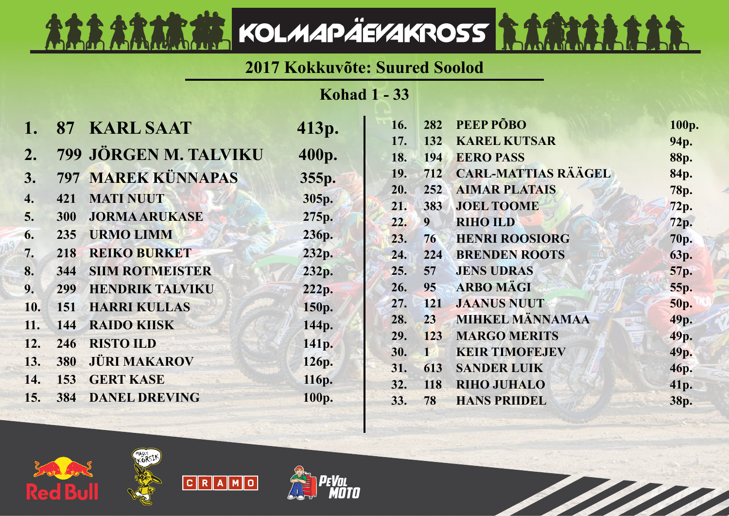## **2017 Kokkuvõte: Suured Soolod**

KOLMAPÄEVAKROSS **SAAR** 

**Kohad 1 - 33**

|     | 87         | <b>KARL SAAT</b>          | 413p. | 16. | 282             | PEEP PÕBO                  | 100p.       |
|-----|------------|---------------------------|-------|-----|-----------------|----------------------------|-------------|
|     |            |                           |       | 17. | 132             | <b>KAREL KUTSAR</b>        | 94p.        |
| 2.  |            | 799 JÖRGEN M. TALVIKU     | 400p. | 18. | 194             | <b>EERO PASS</b>           | 88p.        |
| 3.  |            | <b>797 MAREK KÜNNAPAS</b> | 355p. | 19. | 712             | <b>CARL-MATTIAS RÄÄGEL</b> | 84p.        |
| 4.  | 421        | <b>MATI NUUT</b>          | 305p. | 20. | 252             | <b>AIMAR PLATAIS</b>       | <b>78p.</b> |
|     |            |                           |       | 21. | 383             | <b>JOEL TOOME</b>          | 72p.        |
| 5.  | <b>300</b> | <b>JORMA ARUKASE</b>      | 275p. | 22. | 9 <sup>1</sup>  | <b>RIHO ILD</b>            | 72p.        |
| 6.  | 235        | <b>URMO LIMM</b>          | 236p. | 23. | 76              | <b>HENRI ROOSIORG</b>      | 70p.        |
| 7.  | 218        | <b>REIKO BURKET</b>       | 232p. | 24. | 224             | <b>BRENDEN ROOTS</b>       | 63p.        |
| 8.  | 344        | <b>SIIM ROTMEISTER</b>    | 232p. | 25. | 57              | <b>JENS UDRAS</b>          | 57p.        |
| 9.  | 299        | <b>HENDRIK TALVIKU</b>    | 222p. | 26. | 95 <sub>1</sub> | <b>ARBO MÄGI</b>           | 55p.        |
| 10. | 151        | <b>HARRI KULLAS</b>       | 150p. | 27. | <b>121</b>      | <b>JAANUS NUUT</b>         | <b>50p.</b> |
| 11. | 144        | <b>RAIDO KIISK</b>        | 144p. | 28. | 23              | <b>MIHKEL MÄNNAMAA</b>     | 49p.        |
| 12. | 246        | <b>RISTO ILD</b>          | 141p. | 29. | 123             | <b>MARGO MERITS</b>        | 49p.        |
|     |            |                           |       | 30. |                 | <b>KEIR TIMOFEJEV</b>      | 49p.        |
| 13. |            | <b>380 JÜRI MAKAROV</b>   | 126p. | 31. | 613             | <b>SANDER LUIK</b>         | 46p.        |
| 14. | 153        | <b>GERT KASE</b>          | 116p. | 32. | 118             | <b>RIHO JUHALO</b>         | 41p.        |
| 15. | 384        | <b>DANEL DREVING</b>      | 100p. | 33. | 78              | <b>HANS PRIIDEL</b>        | 38p.        |
|     |            |                           |       |     |                 |                            |             |